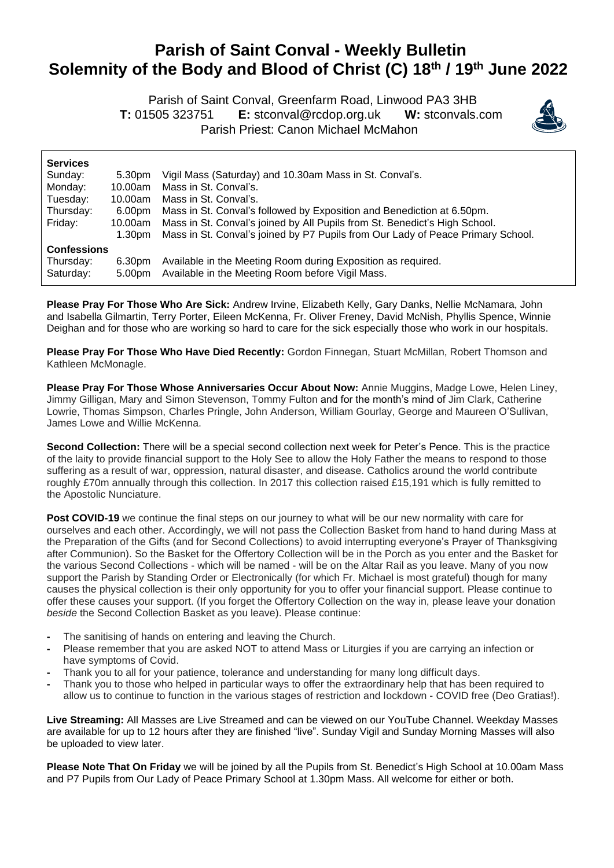## **Parish of Saint Conval - Weekly Bulletin Solemnity of the Body and Blood of Christ (C) 18 th / 19 th June 2022**

 Parish of Saint Conval, Greenfarm Road, Linwood PA3 3HB **T:** 01505 323751 **E:** [stconval@rcdop.org.uk](mailto:stconval@rcdop.org.uk) **W:** stconvals.com Parish Priest: Canon Michael McMahon



| <b>Services</b>    |         |                                                                                 |  |  |
|--------------------|---------|---------------------------------------------------------------------------------|--|--|
| Sunday:            | 5.30pm  | Vigil Mass (Saturday) and 10.30am Mass in St. Conval's.                         |  |  |
| Monday:            | 10.00am | Mass in St. Conval's.                                                           |  |  |
| Tuesday:           | 10.00am | Mass in St. Conval's.                                                           |  |  |
| Thursday:          | 6.00pm  | Mass in St. Conval's followed by Exposition and Benediction at 6.50pm.          |  |  |
| Friday:            | 10.00am | Mass in St. Conval's joined by All Pupils from St. Benedict's High School.      |  |  |
|                    | 1.30pm  | Mass in St. Conval's joined by P7 Pupils from Our Lady of Peace Primary School. |  |  |
| <b>Confessions</b> |         |                                                                                 |  |  |
| Thursday:          | 6.30pm  | Available in the Meeting Room during Exposition as required.                    |  |  |
| Saturday:          | 5.00pm  | Available in the Meeting Room before Vigil Mass.                                |  |  |

**Please Pray For Those Who Are Sick:** Andrew Irvine, Elizabeth Kelly, Gary Danks, Nellie McNamara, John and Isabella Gilmartin, Terry Porter, Eileen McKenna, Fr. Oliver Freney, David McNish, Phyllis Spence, Winnie Deighan and for those who are working so hard to care for the sick especially those who work in our hospitals.

**Please Pray For Those Who Have Died Recently:** Gordon Finnegan, Stuart McMillan, Robert Thomson and Kathleen McMonagle.

**Please Pray For Those Whose Anniversaries Occur About Now:** Annie Muggins, Madge Lowe, Helen Liney, Jimmy Gilligan, Mary and Simon Stevenson, Tommy Fulton and for the month's mind of Jim Clark, Catherine Lowrie, Thomas Simpson, Charles Pringle, John Anderson, William Gourlay, George and Maureen O'Sullivan, James Lowe and Willie McKenna.

**Second Collection:** There will be a special second collection next week for Peter's Pence. This is the practice of the laity to provide financial support to the Holy See to allow the Holy Father the means to respond to those suffering as a result of war, oppression, natural disaster, and disease. Catholics around the world contribute roughly £70m annually through this collection. In 2017 this collection raised £15,191 which is fully remitted to the Apostolic Nunciature.

**Post COVID-19** we continue the final steps on our journey to what will be our new normality with care for ourselves and each other. Accordingly, we will not pass the Collection Basket from hand to hand during Mass at the Preparation of the Gifts (and for Second Collections) to avoid interrupting everyone's Prayer of Thanksgiving after Communion). So the Basket for the Offertory Collection will be in the Porch as you enter and the Basket for the various Second Collections - which will be named - will be on the Altar Rail as you leave. Many of you now support the Parish by Standing Order or Electronically (for which Fr. Michael is most grateful) though for many causes the physical collection is their only opportunity for you to offer your financial support. Please continue to offer these causes your support. (If you forget the Offertory Collection on the way in, please leave your donation *beside* the Second Collection Basket as you leave). Please continue:

- **-** The sanitising of hands on entering and leaving the Church.
- **-** Please remember that you are asked NOT to attend Mass or Liturgies if you are carrying an infection or have symptoms of Covid.
- **-** Thank you to all for your patience, tolerance and understanding for many long difficult days.
- **-** Thank you to those who helped in particular ways to offer the extraordinary help that has been required to allow us to continue to function in the various stages of restriction and lockdown - COVID free (Deo Gratias!).

**Live Streaming:** All Masses are Live Streamed and can be viewed on our YouTube Channel. Weekday Masses are available for up to 12 hours after they are finished "live". Sunday Vigil and Sunday Morning Masses will also be uploaded to view later.

**Please Note That On Friday** we will be joined by all the Pupils from St. Benedict's High School at 10.00am Mass and P7 Pupils from Our Lady of Peace Primary School at 1.30pm Mass. All welcome for either or both.